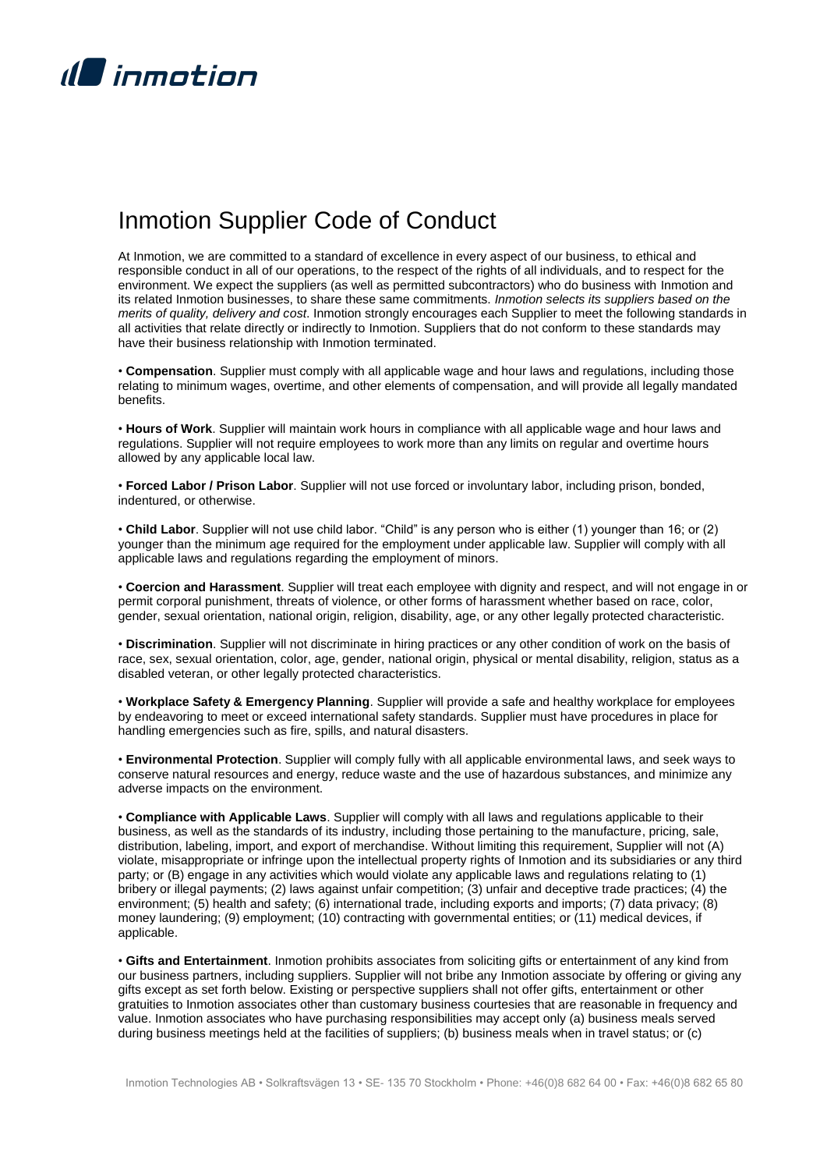

## Inmotion Supplier Code of Conduct

At Inmotion, we are committed to a standard of excellence in every aspect of our business, to ethical and responsible conduct in all of our operations, to the respect of the rights of all individuals, and to respect for the environment. We expect the suppliers (as well as permitted subcontractors) who do business with Inmotion and its related Inmotion businesses, to share these same commitments. *Inmotion selects its suppliers based on the merits of quality, delivery and cost*. Inmotion strongly encourages each Supplier to meet the following standards in all activities that relate directly or indirectly to Inmotion. Suppliers that do not conform to these standards may have their business relationship with Inmotion terminated.

• **Compensation**. Supplier must comply with all applicable wage and hour laws and regulations, including those relating to minimum wages, overtime, and other elements of compensation, and will provide all legally mandated **benefits** 

• **Hours of Work**. Supplier will maintain work hours in compliance with all applicable wage and hour laws and regulations. Supplier will not require employees to work more than any limits on regular and overtime hours allowed by any applicable local law.

• **Forced Labor / Prison Labor**. Supplier will not use forced or involuntary labor, including prison, bonded, indentured, or otherwise.

• **Child Labor**. Supplier will not use child labor. "Child" is any person who is either (1) younger than 16; or (2) younger than the minimum age required for the employment under applicable law. Supplier will comply with all applicable laws and regulations regarding the employment of minors.

• **Coercion and Harassment**. Supplier will treat each employee with dignity and respect, and will not engage in or permit corporal punishment, threats of violence, or other forms of harassment whether based on race, color, gender, sexual orientation, national origin, religion, disability, age, or any other legally protected characteristic.

• **Discrimination**. Supplier will not discriminate in hiring practices or any other condition of work on the basis of race, sex, sexual orientation, color, age, gender, national origin, physical or mental disability, religion, status as a disabled veteran, or other legally protected characteristics.

• **Workplace Safety & Emergency Planning**. Supplier will provide a safe and healthy workplace for employees by endeavoring to meet or exceed international safety standards. Supplier must have procedures in place for handling emergencies such as fire, spills, and natural disasters.

• **Environmental Protection**. Supplier will comply fully with all applicable environmental laws, and seek ways to conserve natural resources and energy, reduce waste and the use of hazardous substances, and minimize any adverse impacts on the environment.

• **Compliance with Applicable Laws**. Supplier will comply with all laws and regulations applicable to their business, as well as the standards of its industry, including those pertaining to the manufacture, pricing, sale, distribution, labeling, import, and export of merchandise. Without limiting this requirement, Supplier will not (A) violate, misappropriate or infringe upon the intellectual property rights of Inmotion and its subsidiaries or any third party; or (B) engage in any activities which would violate any applicable laws and regulations relating to (1) bribery or illegal payments; (2) laws against unfair competition; (3) unfair and deceptive trade practices; (4) the environment; (5) health and safety; (6) international trade, including exports and imports; (7) data privacy; (8) money laundering; (9) employment; (10) contracting with governmental entities; or (11) medical devices, if applicable.

• **Gifts and Entertainment**. Inmotion prohibits associates from soliciting gifts or entertainment of any kind from our business partners, including suppliers. Supplier will not bribe any Inmotion associate by offering or giving any gifts except as set forth below. Existing or perspective suppliers shall not offer gifts, entertainment or other gratuities to Inmotion associates other than customary business courtesies that are reasonable in frequency and value. Inmotion associates who have purchasing responsibilities may accept only (a) business meals served during business meetings held at the facilities of suppliers; (b) business meals when in travel status; or (c)